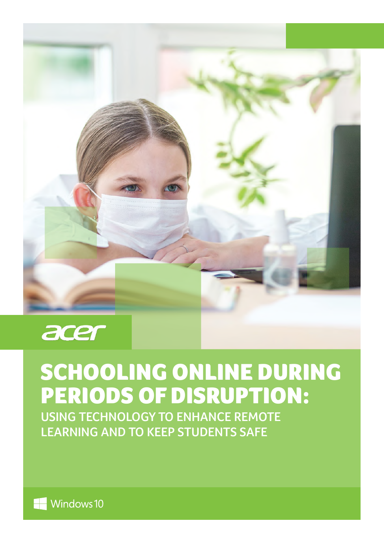

# SCHOOLING ONLINE DURING PERIODS OF DISRUPTION:

**USING TECHNOLOGY TO ENHANCE REMOTE LEARNING AND TO KEEP STUDENTS SAFE**

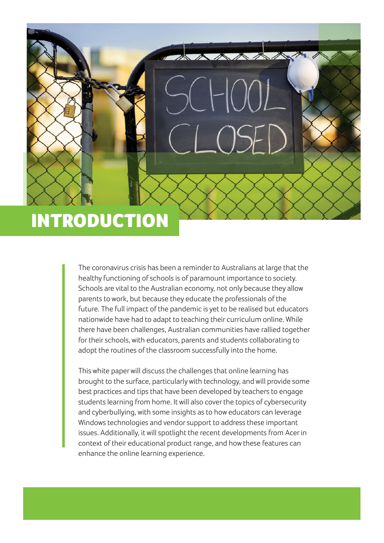## INTRODUCTION

The coronavirus crisis has been a reminder to Australians at large that the healthy functioning of schools is of paramount importance to society. Schools are vital to the Australian economy, not only because they allow parents to work, but because they educate the professionals of the future. The full impact of the pandemic is yet to be realised but educators nationwide have had to adapt to teaching their curriculum online. While there have been challenges, Australian communities have rallied together for their schools, with educators, parents and students collaborating to adopt the routines of the classroom successfully into the home.

This white paper will discuss the challenges that online learning has brought to the surface, particularly with technology, and will provide some best practices and tips that have been developed by teachers to engage students learning from home. It will also cover the topics of cybersecurity and cyberbullying, with some insights as to how educators can leverage Windows technologies and vendor support to address these important issues. Additionally, it will spotlight the recent developments from Acer in context of their educational product range, and how these features can enhance the online learning experience.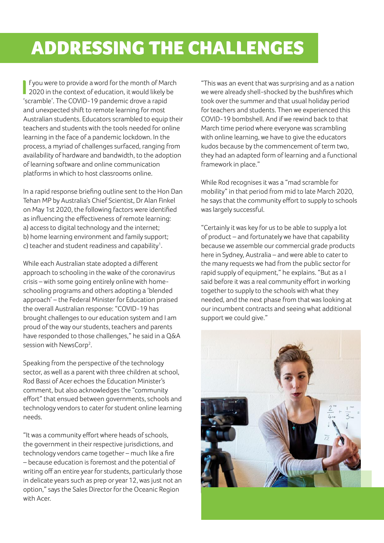## ADDRESSING THE CHALLENGES

**I** fyou were to provide a word for the month of March<br>2020 in the context of education, it would likely be f you were to provide a word for the month of March 'scramble'. The COVID-19 pandemic drove a rapid and unexpected shift to remote learning for most Australian students. Educators scrambled to equip their teachers and students with the tools needed for online learning in the face of a pandemic lockdown. In the process, a myriad of challenges surfaced, ranging from availability of hardware and bandwidth, to the adoption of learning software and online communication platforms in which to host classrooms online.

In a rapid response briefing outline sent to the Hon Dan Tehan MP by Australia's Chief Scientist, Dr Alan Finkel on May 1st 2020, the following factors were identified as influencing the effectiveness of remote learning: a) access to digital technology and the internet; b) home learning environment and family support; c) teacher and student readiness and capability<sup>1</sup>.

While each Australian state adopted a different approach to schooling in the wake of the coronavirus crisis – with some going entirely online with homeschooling programs and others adopting a 'blended approach' – the Federal Minister for Education praised the overall Australian response: "COVID-19 has brought challenges to our education system and I am proud of the way our students, teachers and parents have responded to those challenges," he said in a Q&A session with NewsCorp<sup>2</sup>.

Speaking from the perspective of the technology sector, as well as a parent with three children at school, Rod Bassi of Acer echoes the Education Minister's comment, but also acknowledges the "community effort" that ensued between governments, schools and technology vendors to cater for student online learning needs.

"It was a community effort where heads of schools, the government in their respective jurisdictions, and technology vendors came together – much like a fire – because education is foremost and the potential of writing off an entire year for students, particularly those in delicate years such as prep or year 12, was just not an option," says the Sales Director for the Oceanic Region with Acer.

"This was an event that was surprising and as a nation we were already shell-shocked by the bushfires which took over the summer and that usual holiday period for teachers and students. Then we experienced this COVID-19 bombshell. And if we rewind back to that March time period where everyone was scrambling with online learning, we have to give the educators kudos because by the commencement of term two, they had an adapted form of learning and a functional framework in place."

While Rod recognises it was a "mad scramble for mobility" in that period from mid to late March 2020, he says that the community effort to supply to schools was largely successful.

"Certainly it was key for us to be able to supply a lot of product – and fortunately we have that capability because we assemble our commercial grade products here in Sydney, Australia – and were able to cater to the many requests we had from the public sector for rapid supply of equipment," he explains. "But as a I said before it was a real community effort in working together to supply to the schools with what they needed, and the next phase from that was looking at our incumbent contracts and seeing what additional support we could give."

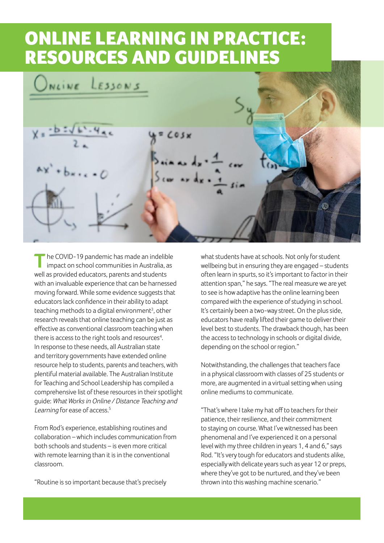#### ONLINE LEARNING IN PRACTICE: RESOURCES AND GUIDELINES

NLINE  $E330N5$  $x = b : \sqrt{b}$  $COSx$ Œ.

**T**he COVID-19 pandemic has made an indelible impact on school communities in Australia, as well as provided educators, parents and students with an invaluable experience that can be harnessed moving forward. While some evidence suggests that educators lack confidence in their ability to adapt teaching methods to a digital environment<sup>3</sup>, other research reveals that online teaching can be just as effective as conventional classroom teaching when there is access to the right tools and resources<sup>4</sup>. In response to these needs, all Australian state and territory governments have extended online resource help to students, parents and teachers, with plentiful material available. The Australian Institute for Teaching and School Leadership has compiled a comprehensive list of these resources in their spotlight guide: What Works in Online / Distance Teaching and Learning for ease of access.<sup>5</sup>

From Rod's experience, establishing routines and collaboration – which includes communication from both schools and students – is even more critical with remote learning than it is in the conventional classroom.

"Routine is so important because that's precisely

what students have at schools. Not only for student wellbeing but in ensuring they are engaged – students often learn in spurts, so it's important to factor in their attention span," he says. "The real measure we are yet to see is how adaptive has the online learning been compared with the experience of studying in school. It's certainly been a two-way street. On the plus side, educators have really lifted their game to deliver their level best to students. The drawback though, has been the access to technology in schools or digital divide, depending on the school or region."

Notwithstanding, the challenges that teachers face in a physical classroom with classes of 25 students or more, are augmented in a virtual setting when using online mediums to communicate.

"That's where I take my hat off to teachers for their patience, their resilience, and their commitment to staying on course. What I've witnessed has been phenomenal and I've experienced it on a personal level with my three children in years 1, 4 and 6," says Rod. "It's very tough for educators and students alike, especially with delicate years such as year 12 or preps, where they've got to be nurtured, and they've been thrown into this washing machine scenario."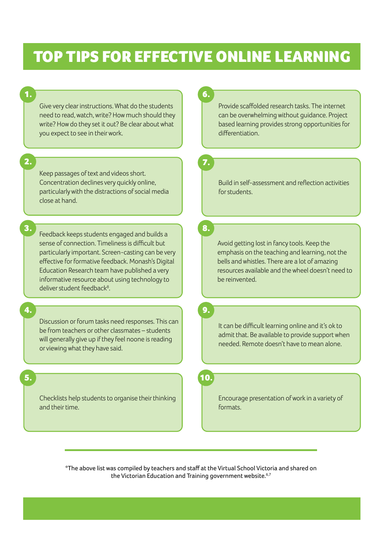#### TOP TIPS FOR EFFECTIVE ONLINE LEARNING

Give very clear instructions. What do the students need to read, watch, write? How much should they write? How do they set it out? Be clear about what you expect to see in their work.

2.

3.

1.

Keep passages of text and videos short. Concentration declines very quickly online, particularly with the distractions of social media close at hand.

Feedback keeps students engaged and builds a sense of connection. Timeliness is difficult but particularly important. Screen-casting can be very effective for formative feedback. Monash's Digital Education Research team have published a very informative resource about using technology to deliver student feedback<sup>8</sup>.

4.

5.

Discussion or forum tasks need responses. This can be from teachers or other classmates – students will generally give up if they feel noone is reading or viewing what they have said.

Checklists help students to organise their thinking and their time.

6.

Provide scaffolded research tasks. The internet can be overwhelming without guidance. Project based learning provides strong opportunities for differentiation.

7.

Build in self-assessment and reflection activities for students.

8.

Avoid getting lost in fancy tools. Keep the emphasis on the teaching and learning, not the bells and whistles. There are a lot of amazing resources available and the wheel doesn't need to be reinvented.

9.

It can be difficult learning online and it's ok to admit that. Be available to provide support when needed. Remote doesn't have to mean alone.

10.

Encourage presentation of work in a variety of formats.

\*The above list was compiled by teachers and staff at the Virtual School Victoria and shared on the Victorian Education and Training government website.<sup>6,7</sup>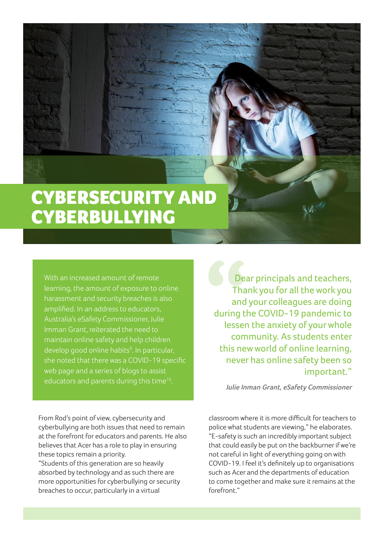### CYBERSECURITY AND **CYBERBULLYING**

With an increased amount of remote learning, the amount of exposure to online harassment and security breaches is also amplified. In an address to educators, Australia's eSafety Commissioner, Julie Imman Grant, reiterated the need to maintain online safety and help children develop good online habits<sup>9</sup>. In particular, she noted that there was a COVID-19 specific web page and a series of blogs to assist educators and parents during this time<sup>10</sup>.

Dear principals and teachers, Thank you for all the work you and your colleagues are doing during the COVID-19 pandemic to lessen the anxiety of your whole community. As students enter this new world of online learning, never has online safety been so important."

**Julie Inman Grant, eSafety Commissioner**

From Rod's point of view, cybersecurity and cyberbullying are both issues that need to remain at the forefront for educators and parents. He also believes that Acer has a role to play in ensuring these topics remain a priority.

"Students of this generation are so heavily absorbed by technology and as such there are more opportunities for cyberbullying or security breaches to occur, particularly in a virtual

classroom where it is more difficult for teachers to police what students are viewing," he elaborates. "E-safety is such an incredibly important subject that could easily be put on the backburner if we're not careful in light of everything going on with COVID-19. I feel it's definitely up to organisations such as Acer and the departments of education to come together and make sure it remains at the forefront."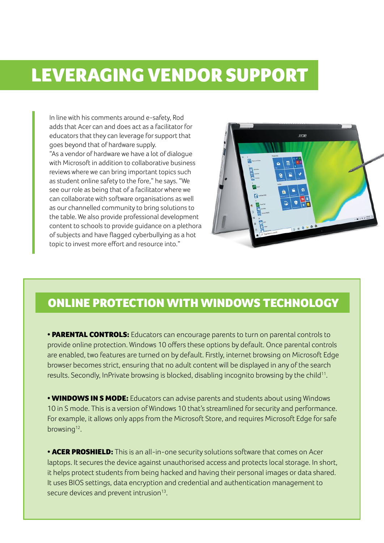#### LEVERAGING VENDOR SUPPORT

In line with his comments around e-safety, Rod adds that Acer can and does act as a facilitator for educators that they can leverage for support that goes beyond that of hardware supply. "As a vendor of hardware we have a lot of dialogue with Microsoft in addition to collaborative business reviews where we can bring important topics such as student online safety to the fore," he says. "We see our role as being that of a facilitator where we can collaborate with software organisations as well as our channelled community to bring solutions to the table. We also provide professional development content to schools to provide guidance on a plethora of subjects and have flagged cyberbullying as a hot topic to invest more effort and resource into."



#### ONLINE PROTECTION WITH WINDOWS TECHNOLOGY

**• PARENTAL CONTROLS:** Educators can encourage parents to turn on parental controls to provide online protection. Windows 10 offers these options by default. Once parental controls are enabled, two features are turned on by default. Firstly, internet browsing on Microsoft Edge browser becomes strict, ensuring that no adult content will be displayed in any of the search results. Secondly, InPrivate browsing is blocked, disabling incognito browsing by the child<sup>11</sup>.

• **WINDOWS IN S MODE:** Educators can advise parents and students about using Windows 10 in S mode. This is a version of Windows 10 that's streamlined for security and performance. For example, it allows only apps from the Microsoft Store, and requires Microsoft Edge for safe browsing<sup>12</sup>.

• **ACER PROSHIELD:** This is an all-in-one security solutions software that comes on Acer laptops. It secures the device against unauthorised access and protects local storage. In short, it helps protect students from being hacked and having their personal images or data shared. It uses BIOS settings, data encryption and credential and authentication management to secure devices and prevent intrusion<sup>13</sup>.